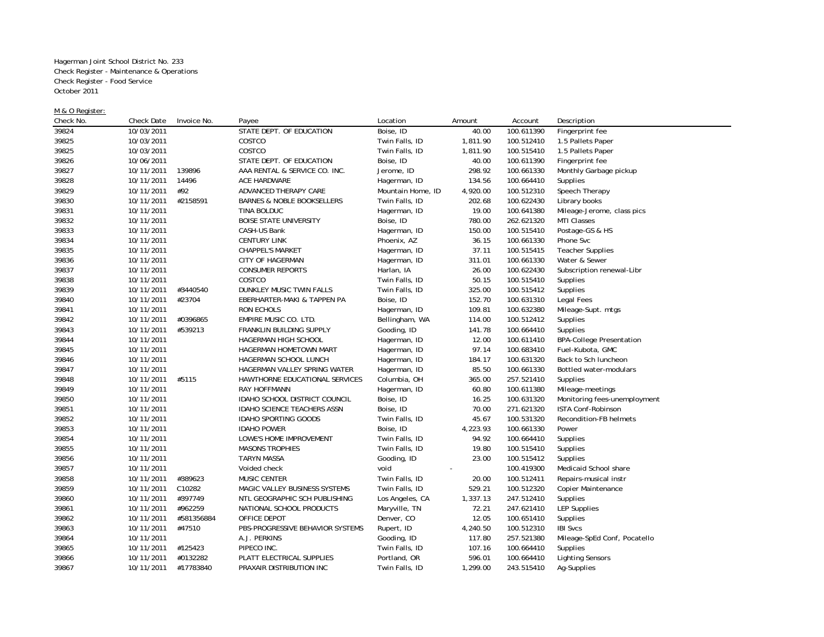Hagerman Joint School District No. 233 Check Register - Maintenance & Operations Check Register - Food Service October 2011

## M & O Register:

| Check No. | <b>Check Date</b> | Invoice No. | Payee                                 | Location          | Amount   | Account    | Description                     |
|-----------|-------------------|-------------|---------------------------------------|-------------------|----------|------------|---------------------------------|
| 39824     | 10/03/2011        |             | STATE DEPT. OF EDUCATION              | Boise, ID         | 40.00    | 100.611390 | Fingerprint fee                 |
| 39825     | 10/03/2011        |             | COSTCO                                | Twin Falls, ID    | 1,811.90 | 100.512410 | 1.5 Pallets Paper               |
| 39825     | 10/03/2011        |             | COSTCO                                | Twin Falls, ID    | 1,811.90 | 100.515410 | 1.5 Pallets Paper               |
| 39826     | 10/06/2011        |             | STATE DEPT. OF EDUCATION              | Boise, ID         | 40.00    | 100.611390 | Fingerprint fee                 |
| 39827     | 10/11/2011        | 139896      | AAA RENTAL & SERVICE CO. INC.         | Jerome, ID        | 298.92   | 100.661330 | Monthly Garbage pickup          |
| 39828     | 10/11/2011        | 14496       | ACE HARDWARE                          | Hagerman, ID      | 134.56   | 100.664410 | Supplies                        |
| 39829     | 10/11/2011        | #92         | ADVANCED THERAPY CARE                 | Mountain Home, ID | 4,920.00 | 100.512310 | Speech Therapy                  |
| 39830     | 10/11/2011        | #2158591    | <b>BARNES &amp; NOBLE BOOKSELLERS</b> | Twin Falls, ID    | 202.68   | 100.622430 | Library books                   |
| 39831     | 10/11/2011        |             | TINA BOLDUC                           | Hagerman, ID      | 19.00    | 100.641380 | Mileage-Jerome, class pics      |
| 39832     | 10/11/2011        |             | <b>BOISE STATE UNIVERSITY</b>         | Boise, ID         | 780.00   | 262.621320 | MTI Classes                     |
| 39833     | 10/11/2011        |             | CASH-US Bank                          | Hagerman, ID      | 150.00   | 100.515410 | Postage-GS & HS                 |
| 39834     | 10/11/2011        |             | <b>CENTURY LINK</b>                   | Phoenix, AZ       | 36.15    | 100.661330 | Phone Svc                       |
| 39835     | 10/11/2011        |             | <b>CHAPPEL'S MARKET</b>               | Hagerman, ID      | 37.11    | 100.515415 | <b>Teacher Supplies</b>         |
| 39836     | 10/11/2011        |             | CITY OF HAGERMAN                      | Hagerman, ID      | 311.01   | 100.661330 | Water & Sewer                   |
| 39837     | 10/11/2011        |             | <b>CONSUMER REPORTS</b>               | Harlan, IA        | 26.00    | 100.622430 | Subscription renewal-Libr       |
| 39838     | 10/11/2011        |             | COSTCO                                | Twin Falls, ID    | 50.15    | 100.515410 | Supplies                        |
| 39839     | 10/11/2011        | #3440540    | DUNKLEY MUSIC TWIN FALLS              | Twin Falls, ID    | 325.00   | 100.515412 | Supplies                        |
| 39840     | 10/11/2011        | #23704      | EBERHARTER-MAKI & TAPPEN PA           | Boise, ID         | 152.70   | 100.631310 | Legal Fees                      |
| 39841     | 10/11/2011        |             | <b>RON ECHOLS</b>                     | Hagerman, ID      | 109.81   | 100.632380 | Mileage-Supt. mtgs              |
| 39842     | 10/11/2011        | #0396865    | EMPIRE MUSIC CO. LTD.                 | Bellingham, WA    | 114.00   | 100.512412 | Supplies                        |
| 39843     | 10/11/2011        | #539213     | FRANKLIN BUILDING SUPPLY              | Gooding, ID       | 141.78   | 100.664410 | Supplies                        |
| 39844     | 10/11/2011        |             | HAGERMAN HIGH SCHOOL                  | Hagerman, ID      | 12.00    | 100.611410 | <b>BPA-College Presentation</b> |
| 39845     | 10/11/2011        |             | HAGERMAN HOMETOWN MART                | Hagerman, ID      | 97.14    | 100.683410 | Fuel-Kubota, GMC                |
| 39846     | 10/11/2011        |             | HAGERMAN SCHOOL LUNCH                 | Hagerman, ID      | 184.17   | 100.631320 | Back to Sch luncheon            |
| 39847     | 10/11/2011        |             | HAGERMAN VALLEY SPRING WATER          | Hagerman, ID      | 85.50    | 100.661330 | Bottled water-modulars          |
| 39848     | 10/11/2011        | #5115       | HAWTHORNE EDUCATIONAL SERVICES        | Columbia, OH      | 365.00   | 257.521410 | Supplies                        |
| 39849     | 10/11/2011        |             | <b>RAY HOFFMANN</b>                   | Hagerman, ID      | 60.80    | 100.611380 | Mileage-meetings                |
| 39850     | 10/11/2011        |             | <b>IDAHO SCHOOL DISTRICT COUNCIL</b>  | Boise, ID         | 16.25    | 100.631320 | Monitoring fees-unemployment    |
| 39851     | 10/11/2011        |             | <b>IDAHO SCIENCE TEACHERS ASSN</b>    | Boise, ID         | 70.00    | 271.621320 | ISTA Conf-Robinson              |
| 39852     | 10/11/2011        |             | <b>IDAHO SPORTING GOODS</b>           | Twin Falls, ID    | 45.67    | 100.531320 | Recondition-FB helmets          |
| 39853     | 10/11/2011        |             | <b>IDAHO POWER</b>                    | Boise, ID         | 4,223.93 | 100.661330 | Power                           |
| 39854     | 10/11/2011        |             | LOWE'S HOME IMPROVEMENT               | Twin Falls, ID    | 94.92    | 100.664410 | Supplies                        |
| 39855     | 10/11/2011        |             | <b>MASONS TROPHIES</b>                | Twin Falls, ID    | 19.80    | 100.515410 | Supplies                        |
| 39856     | 10/11/2011        |             | <b>TARYN MASSA</b>                    | Gooding, ID       | 23.00    | 100.515412 | Supplies                        |
| 39857     | 10/11/2011        |             | Voided check                          | void              |          | 100.419300 | Medicaid School share           |
| 39858     | 10/11/2011        | #389623     | <b>MUSIC CENTER</b>                   | Twin Falls, ID    | 20.00    | 100.512411 | Repairs-musical instr           |
| 39859     | 10/11/2011        | C10282      | MAGIC VALLEY BUSINESS SYSTEMS         | Twin Falls, ID    | 529.21   | 100.512320 | <b>Copier Maintenance</b>       |
| 39860     | 10/11/2011        | #397749     | NTL GEOGRAPHIC SCH PUBLISHING         | Los Angeles, CA   | 1,337.13 | 247.512410 | Supplies                        |
| 39861     | 10/11/2011        | #962259     | NATIONAL SCHOOL PRODUCTS              | Maryville, TN     | 72.21    | 247.621410 | <b>LEP Supplies</b>             |
| 39862     | 10/11/2011        | #581356884  | OFFICE DEPOT                          | Denver, CO        | 12.05    | 100.651410 | Supplies                        |
| 39863     | 10/11/2011        | #47510      | PBS-PROGRESSIVE BEHAVIOR SYSTEMS      | Rupert, ID        | 4,240.50 | 100.512310 | <b>IBI Svcs</b>                 |
| 39864     | 10/11/2011        |             | A.J. PERKINS                          | Gooding, ID       | 117.80   | 257.521380 | Mileage-SpEd Conf, Pocatello    |
| 39865     | 10/11/2011        | #125423     | PIPECO INC.                           | Twin Falls, ID    | 107.16   | 100.664410 | Supplies                        |
| 39866     | 10/11/2011        | #0132282    | PLATT ELECTRICAL SUPPLIES             | Portland, OR      | 596.01   | 100.664410 | <b>Lighting Sensors</b>         |
| 39867     | 10/11/2011        | #17783840   | PRAXAIR DISTRIBUTION INC              | Twin Falls, ID    | 1,299.00 | 243.515410 | Ag-Supplies                     |
|           |                   |             |                                       |                   |          |            |                                 |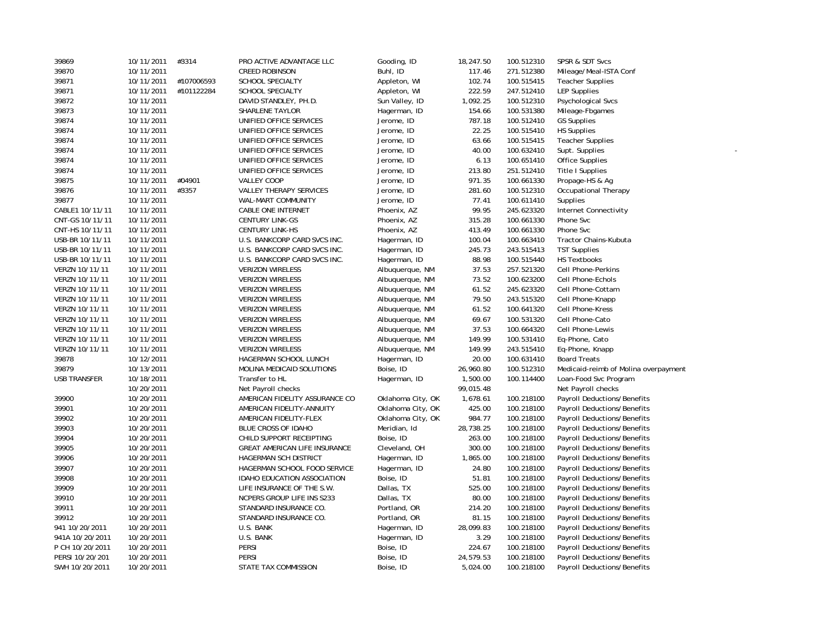| 39869           | 10/11/2011 | #3314      | PRO ACTIVE ADVANTAGE LLC       | Gooding, ID       | 18,247.50 | 100.512310 | SPSR & SDT Svcs                      |
|-----------------|------------|------------|--------------------------------|-------------------|-----------|------------|--------------------------------------|
| 39870           | 10/11/2011 |            | <b>CREED ROBINSON</b>          | Buhl, ID          | 117.46    | 271.512380 | Mileage/Meal-ISTA Conf               |
| 39871           | 10/11/2011 | #107006593 | SCHOOL SPECIALTY               | Appleton, WI      | 102.74    | 100.515415 | <b>Teacher Supplies</b>              |
| 39871           | 10/11/2011 | #101122284 | SCHOOL SPECIALTY               | Appleton, WI      | 222.59    | 247.512410 | <b>LEP Supplies</b>                  |
| 39872           | 10/11/2011 |            | DAVID STANDLEY, PH.D.          | Sun Valley, ID    | 1,092.25  | 100.512310 | <b>Psychological Svcs</b>            |
| 39873           | 10/11/2011 |            | SHARLENE TAYLOR                | Hagerman, ID      | 154.66    | 100.531380 | Mileage-Fbgames                      |
| 39874           | 10/11/2011 |            | UNIFIED OFFICE SERVICES        | Jerome, ID        | 787.18    | 100.512410 | <b>GS Supplies</b>                   |
| 39874           | 10/11/2011 |            | UNIFIED OFFICE SERVICES        | Jerome, ID        | 22.25     | 100.515410 | <b>HS Supplies</b>                   |
| 39874           | 10/11/2011 |            | UNIFIED OFFICE SERVICES        | Jerome, ID        | 63.66     | 100.515415 | <b>Teacher Supplies</b>              |
| 39874           | 10/11/2011 |            | UNIFIED OFFICE SERVICES        | Jerome, ID        | 40.00     | 100.632410 | Supt. Supplies                       |
| 39874           | 10/11/2011 |            | UNIFIED OFFICE SERVICES        | Jerome, ID        | 6.13      | 100.651410 | <b>Office Supplies</b>               |
| 39874           | 10/11/2011 |            | UNIFIED OFFICE SERVICES        | Jerome, ID        | 213.80    | 251.512410 | Title I Supplies                     |
| 39875           | 10/11/2011 | #04901     | VALLEY COOP                    | Jerome, ID        | 971.35    | 100.661330 | Propage-HS & Ag                      |
| 39876           | 10/11/2011 | #3357      | VALLEY THERAPY SERVICES        | Jerome, ID        | 281.60    | 100.512310 | Occupational Therapy                 |
| 39877           | 10/11/2011 |            | WAL-MART COMMUNITY             | Jerome, ID        | 77.41     | 100.611410 | Supplies                             |
| CABLE1 10/11/11 | 10/11/2011 |            | CABLE ONE INTERNET             | Phoenix, AZ       | 99.95     | 245.623320 | Internet Connectivity                |
| CNT-GS 10/11/11 | 10/11/2011 |            | <b>CENTURY LINK-GS</b>         | Phoenix, AZ       | 315.28    | 100.661330 | Phone Svc                            |
| CNT-HS 10/11/11 | 10/11/2011 |            | <b>CENTURY LINK-HS</b>         | Phoenix, AZ       | 413.49    | 100.661330 | Phone Svc                            |
| USB-BR 10/11/11 | 10/11/2011 |            | U.S. BANKCORP CARD SVCS INC.   | Hagerman, ID      | 100.04    | 100.663410 | Tractor Chains-Kubuta                |
| USB-BR 10/11/11 | 10/11/2011 |            | U.S. BANKCORP CARD SVCS INC.   | Hagerman, ID      | 245.73    | 243.515413 | <b>TST Supplies</b>                  |
| USB-BR 10/11/11 | 10/11/2011 |            | U.S. BANKCORP CARD SVCS INC.   | Hagerman, ID      | 88.98     | 100.515440 | <b>HS Textbooks</b>                  |
| VERZN 10/11/11  | 10/11/2011 |            | <b>VERIZON WIRELESS</b>        | Albuquerque, NM   | 37.53     | 257.521320 | <b>Cell Phone-Perkins</b>            |
| VERZN 10/11/11  | 10/11/2011 |            | <b>VERIZON WIRELESS</b>        | Albuquerque, NM   | 73.52     | 100.623200 | Cell Phone-Echols                    |
| VERZN 10/11/11  | 10/11/2011 |            | <b>VERIZON WIRELESS</b>        | Albuquerque, NM   | 61.52     | 245.623320 | Cell Phone-Cottam                    |
| VERZN 10/11/11  | 10/11/2011 |            | <b>VERIZON WIRELESS</b>        | Albuquerque, NM   | 79.50     | 243.515320 | Cell Phone-Knapp                     |
| VERZN 10/11/11  | 10/11/2011 |            | <b>VERIZON WIRELESS</b>        | Albuguergue, NM   | 61.52     | 100.641320 | Cell Phone-Kress                     |
| VERZN 10/11/11  | 10/11/2011 |            | <b>VERIZON WIRELESS</b>        | Albuquerque, NM   | 69.67     | 100.531320 | Cell Phone-Cato                      |
| VERZN 10/11/11  | 10/11/2011 |            | <b>VERIZON WIRELESS</b>        | Albuquerque, NM   | 37.53     | 100.664320 | Cell Phone-Lewis                     |
| VERZN 10/11/11  | 10/11/2011 |            | <b>VERIZON WIRELESS</b>        | Albuquerque, NM   | 149.99    | 100.531410 | Eq-Phone, Cato                       |
| VERZN 10/11/11  | 10/11/2011 |            | <b>VERIZON WIRELESS</b>        | Albuquerque, NM   | 149.99    | 243.515410 | Eq-Phone, Knapp                      |
| 39878           | 10/12/2011 |            | HAGERMAN SCHOOL LUNCH          | Hagerman, ID      | 20.00     | 100.631410 | <b>Board Treats</b>                  |
| 39879           | 10/13/2011 |            | MOLINA MEDICAID SOLUTIONS      | Boise, ID         | 26,960.80 | 100.512310 | Medicaid-reimb of Molina overpayment |
| USB TRANSFER    | 10/18/2011 |            | Transfer to HL                 | Hagerman, ID      | 1,500.00  | 100.114400 | Loan-Food Svc Program                |
|                 | 10/20/2011 |            | Net Payroll checks             |                   | 99,015.48 |            | Net Payroll checks                   |
| 39900           | 10/20/2011 |            | AMERICAN FIDELITY ASSURANCE CO | Oklahoma City, OK | 1,678.61  | 100.218100 | Payroll Deductions/Benefits          |
| 39901           | 10/20/2011 |            | AMERICAN FIDELITY-ANNUITY      | Oklahoma City, OK | 425.00    | 100.218100 | Payroll Deductions/Benefits          |
| 39902           | 10/20/2011 |            | AMERICAN FIDELITY-FLEX         | Oklahoma City, OK | 984.77    | 100.218100 | Payroll Deductions/Benefits          |
| 39903           | 10/20/2011 |            | BLUE CROSS OF IDAHO            | Meridian, Id      | 28,738.25 | 100.218100 | Payroll Deductions/Benefits          |
| 39904           | 10/20/2011 |            | CHILD SUPPORT RECEIPTING       | Boise, ID         | 263.00    | 100.218100 | Payroll Deductions/Benefits          |
| 39905           | 10/20/2011 |            | GREAT AMERICAN LIFE INSURANCE  | Cleveland, OH     | 300.00    | 100.218100 | Payroll Deductions/Benefits          |
| 39906           | 10/20/2011 |            | <b>HAGERMAN SCH DISTRICT</b>   | Hagerman, ID      | 1,865.00  | 100.218100 | Payroll Deductions/Benefits          |
| 39907           | 10/20/2011 |            | HAGERMAN SCHOOL FOOD SERVICE   | Hagerman, ID      | 24.80     | 100.218100 | Payroll Deductions/Benefits          |
| 39908           | 10/20/2011 |            | IDAHO EDUCATION ASSOCIATION    | Boise, ID         | 51.81     | 100.218100 | Payroll Deductions/Benefits          |
| 39909           | 10/20/2011 |            | LIFE INSURANCE OF THE S.W.     | Dallas, TX        | 525.00    | 100.218100 | Payroll Deductions/Benefits          |
| 39910           | 10/20/2011 |            | NCPERS GROUP LIFE INS S233     | Dallas, TX        | 80.00     | 100.218100 | Payroll Deductions/Benefits          |
| 39911           | 10/20/2011 |            | STANDARD INSURANCE CO.         | Portland, OR      | 214.20    | 100.218100 | Payroll Deductions/Benefits          |
| 39912           | 10/20/2011 |            | STANDARD INSURANCE CO.         | Portland, OR      | 81.15     | 100.218100 | Payroll Deductions/Benefits          |
| 941 10/20/2011  | 10/20/2011 |            | U.S. BANK                      | Hagerman, ID      | 28,099.83 | 100.218100 | Payroll Deductions/Benefits          |
| 941A 10/20/2011 | 10/20/2011 |            | U.S. BANK                      | Hagerman, ID      | 3.29      | 100.218100 | Payroll Deductions/Benefits          |
| P CH 10/20/2011 | 10/20/2011 |            | <b>PERSI</b>                   | Boise, ID         | 224.67    | 100.218100 | Payroll Deductions/Benefits          |
| PERSI 10/20/201 | 10/20/2011 |            | PERSI                          | Boise, ID         | 24,579.53 | 100.218100 | <b>Payroll Deductions/Benefits</b>   |
| SWH 10/20/2011  | 10/20/2011 |            | STATE TAX COMMISSION           | Boise, ID         | 5,024.00  | 100.218100 | Payroll Deductions/Benefits          |
|                 |            |            |                                |                   |           |            |                                      |